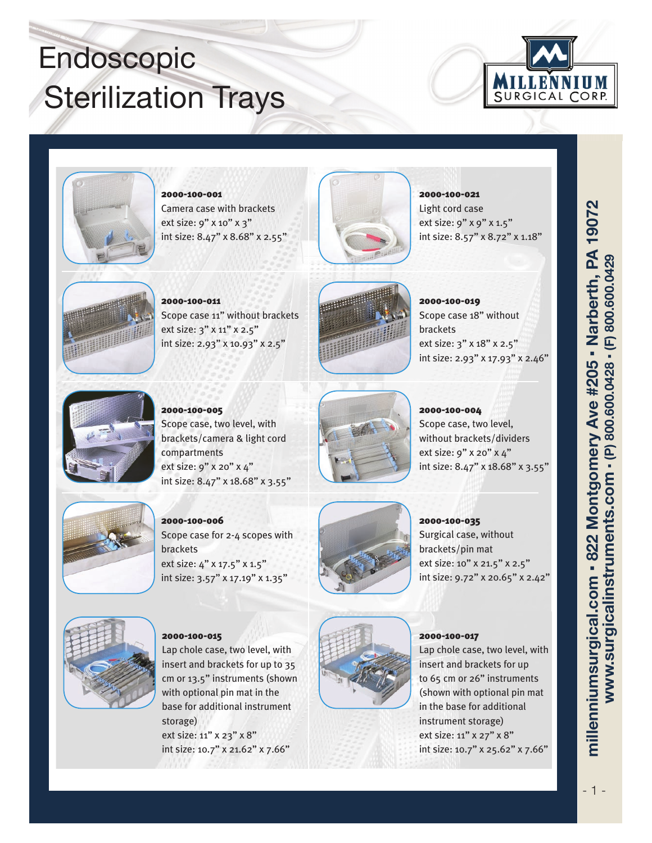## Endoscopic **Sterilization Trays**





2000-100-001 Camera case with brackets ext size: 9" x 10" x 3" int size: 8.47" x 8.68" x 2.55"



2000-100-021 Light cord case ext size: 9" x 9" x 1.5" int size: 8.57" x 8.72" x 1.18"



2000-100-011 Scope case 11" without brackets ext size: 3" x 11" x 2.5" int size: 2.93" x 10.93" x 2.5"



2000-100-019 Scope case 18" without brackets ext size: 3" x 18" x 2.5" int size: 2.93" x 17.93" x 2.46"



2000-100-005 Scope case, two level, with brackets/camera & light cord compartments ext size: 9" x 20" x 4"





int size: 8.47" x 18.68" x 3.55"



2000-100-004 Scope case, two level, without brackets/dividers ext size: 9" x 20" x 4" int size: 8.47" x 18.68" x 3.55"



2000-100-006 Scope case for 2-4 scopes with brackets ext size: 4" x 17.5" x 1.5" int size: 3.57" x 17.19" x 1.35"



2000-100-035

Surgical case, without brackets/pin mat ext size: 10" x 21.5" x 2.5" int size: 9.72" x 20.65" x 2.42"



Lap chole case, two level, with insert and brackets for up to 35 cm or 13.5" instruments (shown with optional pin mat in the base for additional instrument storage) ext size: 11" x 23" x 8" int size: 10.7" x 21.62" x 7.66"

2000-100-015



2000-100-017

Lap chole case, two level, with insert and brackets for up to 65 cm or 26" instruments (shown with optional pin mat in the base for additional instrument storage) ext size: 11" x 27" x 8" int size: 10.7" x 25.62" x 7.66"

millenniumsurgical.com - 822 Montgomery Ave #205 - Narberth, PA 19072 www.surgicalinstruments.com - (P) 800.600.0428 - (F) 800.600.0429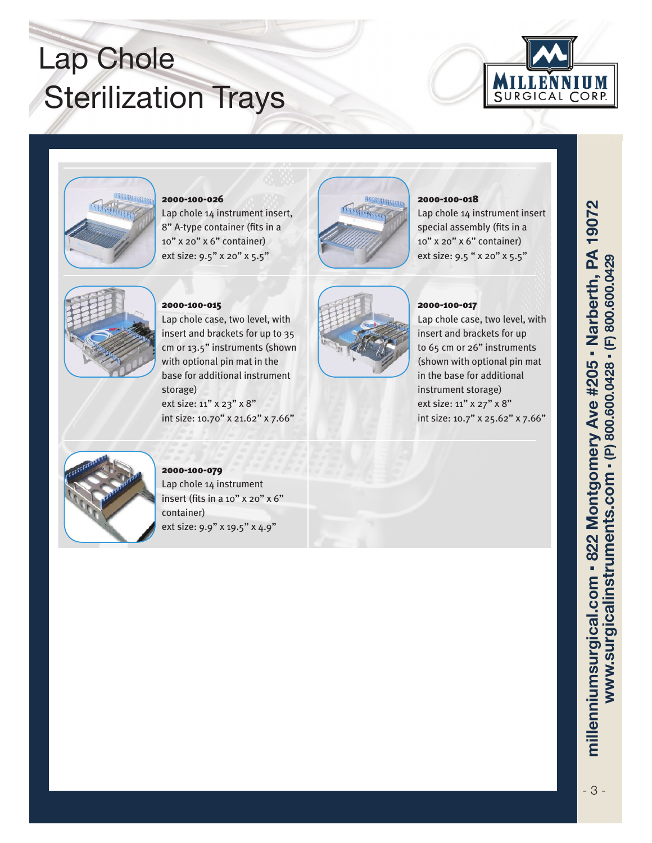## Lap Chole **Sterilization Trays**





### 2000-100-026

Lap chole 14 instrument insert, 8" A-type container (fits in a 10" x 20" x 6" container) ext size: 9.5" x 20" x 5.5"



### 2000-100-018

Lap chole 14 instrument insert special assembly (fits in a 10" x 20" x 6" container) ext size: 9.5 " x 20" x 5.5"



### 2000-100-015

Lap chole case, two level, with insert and brackets for up to 35 cm or 13.5" instruments (shown with optional pin mat in the base for additional instrument storage) ext size: 11" x 23" x 8" int size: 10.70" x 21.62" x 7.66"



### 2000-100-017

Lap chole case, two level, with insert and brackets for up to 65 cm or 26" instruments (shown with optional pin mat in the base for additional instrument storage) ext size: 11" x 27" x 8" int size: 10.7" x 25.62" x 7.66"



2000-100-079 Lap chole 14 instrument insert (fits in a 10" x 20" x 6" container) ext size: 9.9" x 19.5" x 4.9"

millenniumsurgical.com - 822 Montgomery Ave #205 - Narberth, PA 19072 www.surgicalinstruments.com - (P) 800.600.0428 - (F) 800.600.0429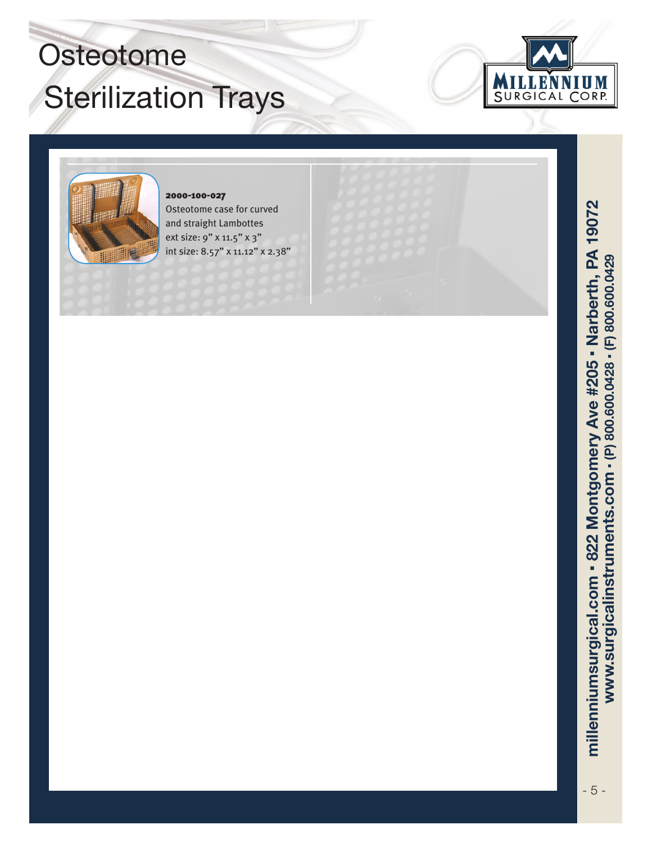# Osteotome **Sterilization Trays**





### 2000-100-027 Osteotome case for curved and straight Lambottes ext size: 9" x 11.5" x 3" int size: 8.57" x 11.12" x 2.38"

millenniumsurgical.com - 822 Montgomery Ave #205 - Narberth, PA 19072 www.surgicalinstruments.com - (P) 800.600.0428 - (F) 800.600.0429